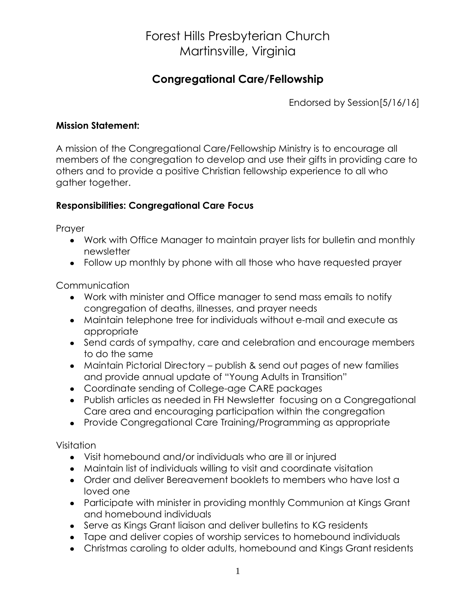## Forest Hills Presbyterian Church Martinsville, Virginia

### **Congregational Care/Fellowship**

Endorsed by Session[5/16/16]

#### **Mission Statement:**

A mission of the Congregational Care/Fellowship Ministry is to encourage all members of the congregation to develop and use their gifts in providing care to others and to provide a positive Christian fellowship experience to all who gather together.

#### **Responsibilities: Congregational Care Focus**

Prayer

- Work with Office Manager to maintain prayer lists for bulletin and monthly newsletter
- Follow up monthly by phone with all those who have requested prayer

Communication

- Work with minister and Office manager to send mass emails to notify congregation of deaths, illnesses, and prayer needs
- Maintain telephone tree for individuals without e-mail and execute as appropriate
- Send cards of sympathy, care and celebration and encourage members to do the same
- Maintain Pictorial Directory publish & send out pages of new families and provide annual update of "Young Adults in Transition"
- Coordinate sending of College-age CARE packages
- Publish articles as needed in FH Newsletter focusing on a Congregational Care area and encouraging participation within the congregation
- Provide Congregational Care Training/Programming as appropriate

Visitation

- Visit homebound and/or individuals who are ill or injured
- Maintain list of individuals willing to visit and coordinate visitation
- Order and deliver Bereavement booklets to members who have lost a loved one
- Participate with minister in providing monthly Communion at Kings Grant and homebound individuals
- Serve as Kings Grant liaison and deliver bulletins to KG residents
- Tape and deliver copies of worship services to homebound individuals
- Christmas caroling to older adults, homebound and Kings Grant residents